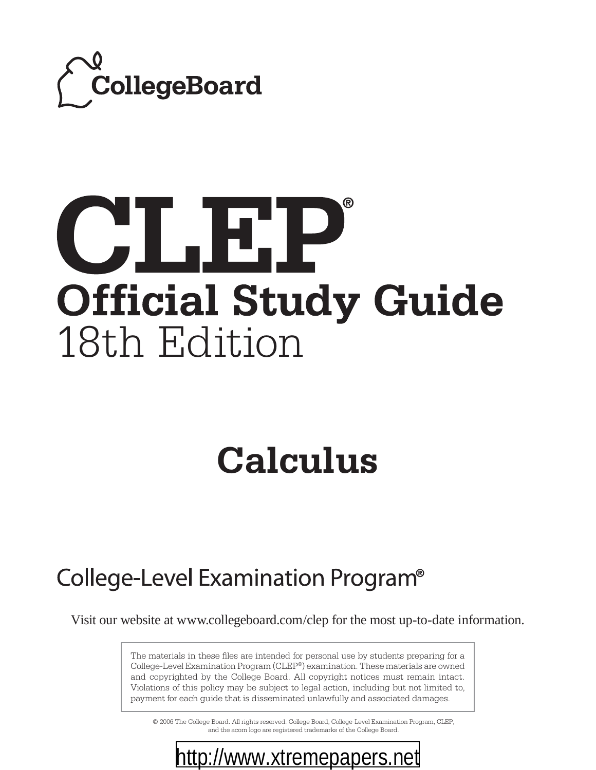

# CLEP **Official Study Guide**<br>18th Edition

## **Calculus**

## College-Level Examination Program<sup>®</sup>

Visit our website at www.collegeboard.com/clep for the most up-to-date information.

The materials in these files are intended for personal use by students preparing for a College-Level Examination Program (CLEP®) examination. These materials are owned and copyrighted by the College Board. All copyright notices must remain intact. Violations of this policy may be subject to legal action, including but not limited to, payment for each guide that is disseminated unlawfully and associated damages.

© 2006 The College Board. All rights reserved. College Board, College-Level Examination Program, CLEP, and the acorn logo are registered trademarks of the College Board.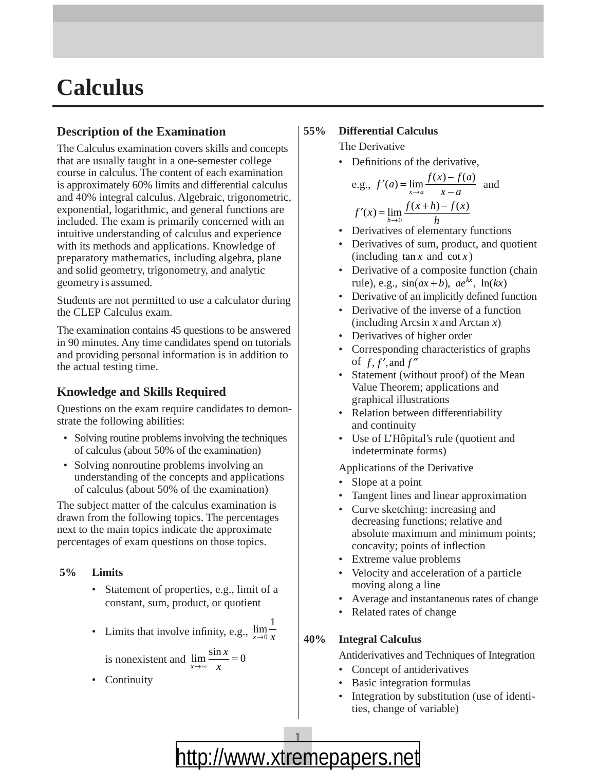## **Calculus**

#### **Description of the Examination**

The Calculus examination covers skills and concepts that are usually taught in a one-semester college course in calculus. The content of each examination is approximately 60% limits and differential calculus and 40% integral calculus. Algebraic, trigonometric, exponential, logarithmic, and general functions are included. The exam is primarily concerned with an intuitive understanding of calculus and experience with its methods and applications. Knowledge of preparatory mathematics, including algebra, plane and solid geometry, trigonometry, and analytic geometry i s assumed.

Students are not permitted to use a calculator during the CLEP Calculus exam.

The examination contains 45 questions to be answered in 90 minutes. Any time candidates spend on tutorials and providing personal information is in addition to the actual testing time.

#### **Knowledge and Skills Required**

Questions on the exam require candidates to demonstrate the following abilities:

- Solving routine problems involving the techniques of calculus (about 50% of the examination)
- Solving nonroutine problems involving an understanding of the concepts and applications of calculus (about 50% of the examination)

The subject matter of the calculus examination is drawn from the following topics. The percentages next to the main topics indicate the approximate percentages of exam questions on those topics.

- **5% Limits**
	- Statement of properties, e.g., limit of a constant, sum, product, or quotient
	- Limits that involve infinity, e.g.,  $\lim_{x\to 0} \frac{1}{x}$ 1

is nonexistent and  $\lim_{x \to \infty} \frac{\sin x}{x}$  $\lim_{x \to \infty} \frac{\sin x}{x} = 0$ 

• Continuity

#### **55% Differential Calculus**

The Derivative

• Definitions of the derivative,

e.g., 
$$
f'(a) = \lim_{x \to a} \frac{f(x) - f(a)}{x - a}
$$
 and  
 $f'(x) = \lim_{h \to 0} \frac{f(x+h) - f(x)}{h}$ 

- Derivatives of elementary functions
- Derivatives of sum, product, and quotient (including  $\tan x$  and  $\cot x$ )
- Derivative of a composite function (chain rule), e.g.,  $sin(ax + b)$ ,  $ae^{kx}$ ,  $ln(kx)$
- Derivative of an implicitly defined function
- Derivative of the inverse of a function (including Arcsin *x* and Arctan *x*)
- Derivatives of higher order
- Corresponding characteristics of graphs of  $f, f',$  and  $f''$
- Statement (without proof) of the Mean Value Theorem; applications and graphical illustrations
- Relation between differentiability and continuity
- Use of L'Hôpital's rule (quotient and indeterminate forms)

Applications of the Derivative

- Slope at a point
- Tangent lines and linear approximation
- Curve sketching: increasing and decreasing functions; relative and absolute maximum and minimum points; concavity; points of inflection
- Extreme value problems
- Velocity and acceleration of a particle moving along a line
- Average and instantaneous rates of change
- Related rates of change

#### **40% Integral Calculus**

Antiderivatives and Techniques of Integration

- Concept of antiderivatives
- Basic integration formulas
- Integration by substitution (use of identities, change of variable)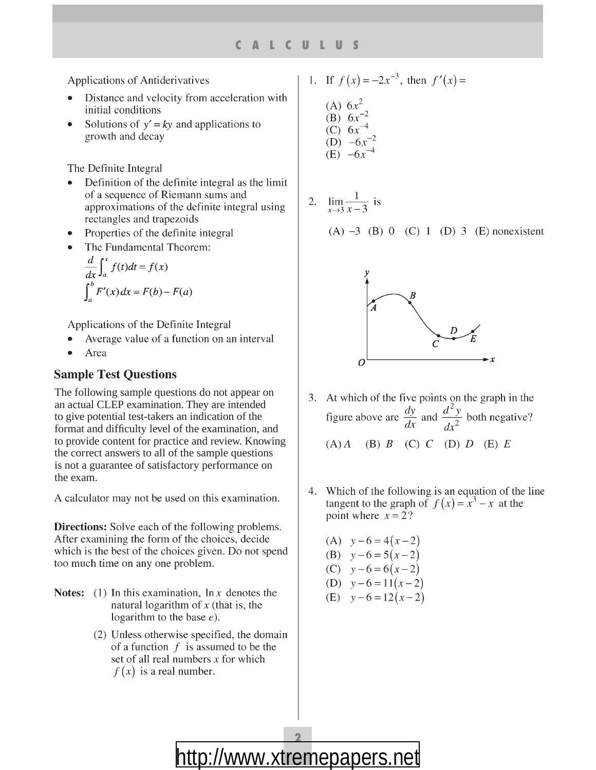**Applications of Antiderivatives** 

- $\bullet$ Distance and velocity from acceleration with initial conditions
- Solutions of  $y' = ky$  and applications to  $\bullet$ growth and decay

The Definite Integral

- Definition of the definite integral as the limit  $\bullet$ of a sequence of Riemann sums and approximations of the definite integral using rectangles and trapezoids
- Properties of the definite integral
- The Fundamental Theorem:

$$
\frac{d}{dx}\int_{a}^{x}f(t)dt = f(x)
$$

$$
\int_{a}^{b}F'(x)dx = F(b) - F(a)
$$

Applications of the Definite Integral

- Average value of a function on an interval
- $\bullet$ Area

#### **Sample Test Questions**

The following sample questions do not appear on an actual CLEP examination. They are intended to give potential test-takers an indication of the format and difficulty level of the examination, and to provide content for practice and review. Knowing the correct answers to all of the sample questions is not a guarantee of satisfactory performance on the exam.

A calculator may not be used on this examination.

**Directions:** Solve each of the following problems. After examining the form of the choices, decide which is the best of the choices given. Do not spend too much time on any one problem.

- **Notes:** (1) In this examination,  $\ln x$  denotes the natural logarithm of  $x$  (that is, the logarithm to the base  $e$ ).
	- (2) Unless otherwise specified, the domain of a function  $f$  is assumed to be the set of all real numbers  $x$  for which  $f(x)$  is a real number.

1. If 
$$
f(x) = -2x^{-3}
$$
, then  $f'(x) =$   
\n(A)  $6x^2$   
\n(B)  $6x^{-2}$ 

(C)  $6x^{-4}$ (D)  $-6x^{-2}$ 

- (E)  $-6x^{-4}$
- 2.  $\lim_{x \to 3} \frac{1}{x-3}$  is (A)  $-3$  (B) 0 (C) 1 (D) 3 (E) nonexistent



- 3. At which of the five points on the graph in the figure above are  $\frac{dy}{dx}$  and  $\frac{d^2y}{dx^2}$  both negative? (B)  $B$  (C)  $C$  (D)  $D$  (E)  $E$  $(A)$  A
- 4. Which of the following is an equation of the line tangent to the graph of  $f(x) = x^3 - x$  at the point where  $x = 2$ ?
	- (A)  $y-6=4(x-2)$
	- (B)  $y-6=5(x-2)$
	- (C)  $y-6=6(x-2)$
	- (D)  $y-6=11(x-2)$
	- (E)  $y-6=12(x-2)$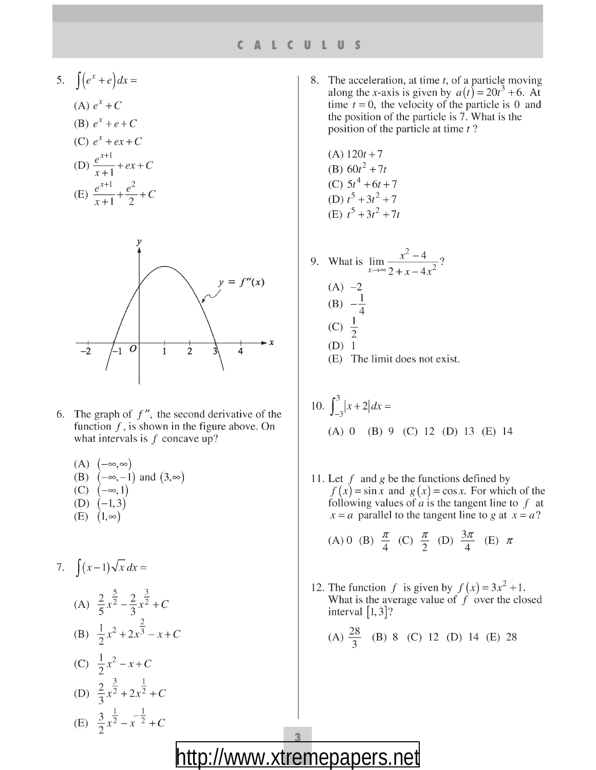- 5.  $\int (e^x + e) dx =$ 
	- (A)  $e^x + C$ (B)  $e^{x} + e + C$
	- $(C) e<sup>x</sup> + e x + C$

(D) 
$$
\frac{e^{x+1}}{x+1} + ex + C
$$
  
(E) 
$$
\frac{e^{x+1}}{x+1} + \frac{e^2}{2} + C
$$



6. The graph of  $f''$ , the second derivative of the function  $f$ , is shown in the figure above. On what intervals is  $f$  concave up?

(A) 
$$
(-\infty, \infty)
$$
  
\n(B)  $(-\infty, -1)$  and  $(3, \infty)$   
\n(C)  $(-\infty, 1)$   
\n(D)  $(-1, 3)$   
\n(E)  $(1, \infty)$ 

7.  $\int (x-1)\sqrt{x} dx =$ (A)  $\frac{2}{5}x^{\frac{5}{2}} - \frac{2}{3}x^{\frac{3}{2}} + C$ (B)  $\frac{1}{2}x^2 + 2x^{\frac{2}{3}} - x + C$  $\sigma$  $1<sub>2</sub>$ 

(C) 
$$
\frac{1}{2}x^2 - x + C
$$
  
\n(D)  $\frac{2}{3}x^{\frac{3}{2}} + 2x^{\frac{1}{2}} + C$   
\n(E)  $\frac{3}{2}x^{\frac{1}{2}} - x^{-\frac{1}{2}} + C$ 

8. The acceleration, at time  $t$ , of a particle moving along the x-axis is given by  $a(t) = 20t^3 + 6$ . At time  $t = 0$ , the velocity of the particle is 0 and the position of the particle is 7. What is the position of the particle at time t?

(A) 
$$
120t + 7
$$
  
\n(B)  $60t^2 + 7t$   
\n(C)  $5t^4 + 6t + 7$   
\n(D)  $t^5 + 3t^2 + 7$   
\n(E)  $t^5 + 3t^2 + 7t$ 

9. What is  $\lim_{x \to \infty} \frac{x^2 - 4}{2 + x - 4x^2}$ ?  $(A) -2$ (B)  $-\frac{1}{4}$ (C)  $\frac{1}{2}$  $(D)$  1 (E) The limit does not exist.

10. 
$$
\int_{-3}^{3} |x + 2| dx =
$$
  
(A) 0 (B) 9 (C) 12 (D) 13 (E) 14

11. Let  $f$  and  $g$  be the functions defined by  $f(x) = \sin x$  and  $g(x) = \cos x$ . For which of the following values of  $a$  is the tangent line to  $f$  at  $x = a$  parallel to the tangent line to g at  $x = a$ ?

(A) 0 (B) 
$$
\frac{\pi}{4}
$$
 (C)  $\frac{\pi}{2}$  (D)  $\frac{3\pi}{4}$  (E)  $\pi$ 

12. The function f is given by  $f(x) = 3x^2 + 1$ . What is the average value of  $\hat{f}$  over the closed interval  $\left[1,3\right]$ ?

(A) 
$$
\frac{28}{3}
$$
 (B) 8 (C) 12 (D) 14 (E) 28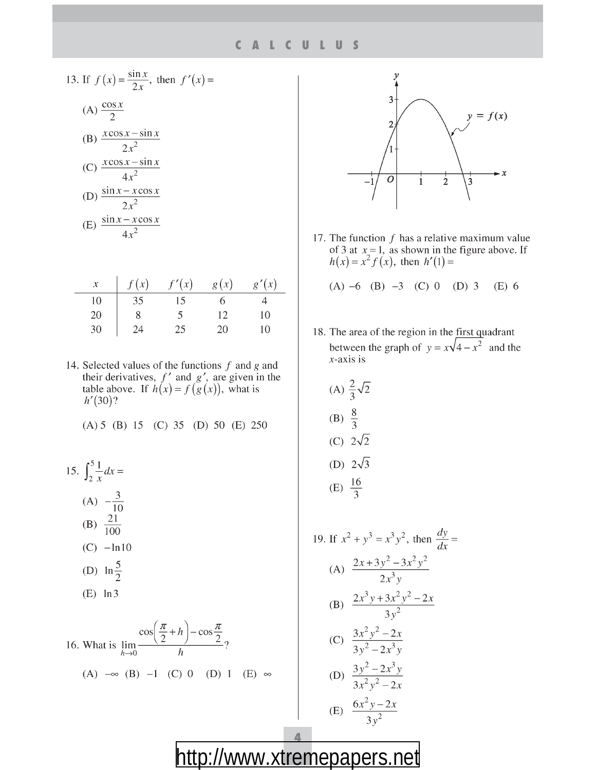| 13. If $f(x) = \frac{\sin x}{2x}$ , then $f'(x)$ |
|--------------------------------------------------|
| (A) $\frac{\cos x}{2}$                           |
| (B) $\frac{x \cos x - \sin x}{2x^2}$             |
| (C) $\frac{x \cos x - \sin x}{4x^2}$             |
| (D) $\frac{\sin x - x \cos x}{2x^2}$             |
| (E) $\frac{\sin x - x \cos x}{4x^2}$             |

| $\mathcal{X}$ | f(x) | f'(x)         | g(x) | g'(x) |
|---------------|------|---------------|------|-------|
| 10            | 35   | $\mathcal{D}$ |      |       |
| 20            |      |               | 12   | 10    |
| 30            | 24   | 25            | 20   | 10    |

 $\qquad \qquad =$ 

14. Selected values of the functions  $f$  and  $g$  and their derivatives,  $f'$  and  $g'$ , are given in the table above. If  $h(x) = f(g(x))$ , what is  $h'(30)?$ 

(A) 5 (B) 15 (C) 35 (D) 50 (E) 250

15. 
$$
\int_{2}^{5} \frac{1}{x} dx =
$$
  
\n(A)  $-\frac{3}{10}$   
\n(B)  $\frac{21}{100}$   
\n(C)  $- \ln 10$   
\n(D)  $\ln \frac{5}{2}$   
\n(E)  $\ln 3$ 

16. What is 
$$
\lim_{h \to 0} \frac{\cos(\frac{\pi}{2} + h) - \cos\frac{\pi}{2}}{h}
$$
?  
\n(A)  $-\infty$  (B)  $-1$  (C) 0 (D) 1 (E)  $\infty$ 



17. The function  $f$  has a relative maximum value of 3 at  $x = 1$ , as shown in the figure above. If  $h(x) = x^2 f(x)$ , then  $h'(1) =$ 

(A)  $-6$  (B)  $-3$  (C) 0 (D) 3 (E) 6

18. The area of the region in the first quadrant between the graph of  $y = x\sqrt{4-x^2}$  and the  $x$ -axis is

(A) 
$$
\frac{2}{3}\sqrt{2}
$$
  
\n(B)  $\frac{8}{3}$   
\n(C)  $2\sqrt{2}$   
\n(D)  $2\sqrt{3}$   
\n(E)  $\frac{16}{3}$ 

19. If 
$$
x^2 + y^3 = x^3y^2
$$
, then  $\frac{dy}{dx} =$   
\n(A) 
$$
\frac{2x + 3y^2 - 3x^2y^2}{2x^3y}
$$
\n(B) 
$$
\frac{2x^3y + 3x^2y^2 - 2x}{3y^2}
$$
\n(C) 
$$
\frac{3x^2y^2 - 2x}{3y^2 - 2x^3y}
$$
\n(D) 
$$
\frac{3y^2 - 2x^3y}{3x^2y^2 - 2x}
$$
\n(E) 
$$
\frac{6x^2y - 2x}{3y^2}
$$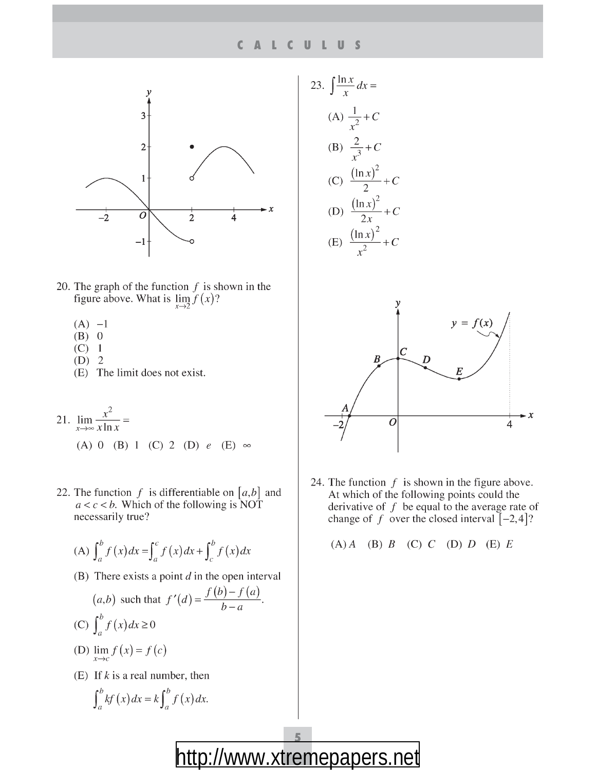#### **CALCULUS**



- 23.  $\int \frac{\ln x}{x} dx =$ (A)  $\frac{1}{x^2} + C$ (B)  $\frac{2}{x^3} + C$ (C)  $\frac{(\ln x)^2}{2} + C$ (D)  $\frac{(\ln x)^2}{2x} + C$ (E)  $\frac{(\ln x)^2}{x^2} + C$
- 20. The graph of the function  $f$  is shown in the figure above. What is  $\lim_{x\to 2} f(x)$ ?
	- $(A) -1$
	- $(B)$  0
	- $(C)$  1
	- $(D)$  2
	- (E) The limit does not exist.
- 21.  $\lim_{x\to\infty}\frac{x^2}{x\ln x}=$ (A) 0 (B) 1 (C) 2 (D) e (E)  $\infty$
- 22. The function f is differentiable on  $[a,b]$  and  $a < c < b$ . Which of the following is NOT necessarily true?

(A) 
$$
\int_{a}^{b} f(x) dx = \int_{a}^{c} f(x) dx + \int_{c}^{b} f(x) dx
$$

(B) There exists a point  $d$  in the open interval

$$
(a,b) \text{ such that } f'(d) = \frac{f(b) - f(a)}{b - a}.
$$
  
(C) 
$$
\int_{a}^{b} f(x) dx \ge 0
$$

- (D)  $\lim_{x \to c} f(x) = f(c)$
- (E) If  $k$  is a real number, then

$$
\int_{a}^{b} kf(x)dx = k \int_{a}^{b} f(x)dx
$$



24. The function  $f$  is shown in the figure above. At which of the following points could the derivative of  $f$  be equal to the average rate of change of f over the closed interval  $[-2, 4]$ ?

 $(A) A (B) B (C) C (D) D (E) E$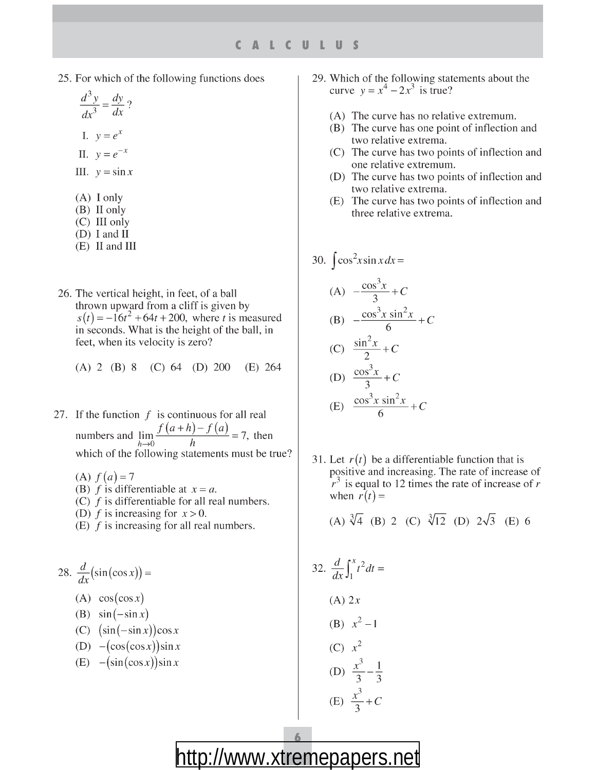25. For which of the following functions does

$$
\frac{d^3 y}{dx^3} = \frac{dy}{dx}
$$
  
I.  $y = e^x$ 

 $\gamma$ 

$$
II. \quad y = e^{-x}
$$

- III.  $y = \sin x$
- $(A)$  I only
- $(B)$  II only
- $(C)$  III only
- $(D)$  I and II
- $(E)$  II and III
- 26. The vertical height, in feet, of a ball thrown upward from a cliff is given by  $s(t) = -16t^2 + 64t + 200$ , where t is measured in seconds. What is the height of the ball, in feet, when its velocity is zero?

(A) 2 (B) 8 (C) 64 (D) 200  $(E)$  264

27. If the function  $f$  is continuous for all real numbers and  $\lim_{h\to 0} \frac{f(a+h)-f(a)}{h} = 7$ , then which of the following statements must be true?

(A)  $f(a) = 7$ 

- (B) f is differentiable at  $x = a$ .
- (C)  $f$  is differentiable for all real numbers.
- (D) f is increasing for  $x > 0$ .
- (E)  $f$  is increasing for all real numbers.
- 28.  $\frac{d}{dx}(\sin(\cos x)) =$ (A)  $cos(cos x)$ 
	- (B)  $\sin(-\sin x)$
	- (C)  $(\sin(-\sin x))\cos x$
	- (D)  $-(\cos(\cos x))\sin x$
	- (E)  $-(\sin(\cos x))\sin x$
- 29. Which of the following statements about the<br>curve  $y = x^4 2x^3$  is true?
	- (A) The curve has no relative extremum.
	- (B) The curve has one point of inflection and two relative extrema.
	- (C) The curve has two points of inflection and one relative extremum.
	- (D) The curve has two points of inflection and two relative extrema.
	- (E) The curve has two points of inflection and three relative extrema.

30. 
$$
\int \cos^2 x \sin x \, dx =
$$
\n(A) 
$$
-\frac{\cos^3 x}{3} + C
$$
\n(B) 
$$
-\frac{\cos^3 x \sin^2 x}{6} + C
$$
\n(C) 
$$
\frac{\sin^2 x}{2} + C
$$
\n(D) 
$$
\frac{\cos^3 x}{3} + C
$$
\n(E) 
$$
\frac{\cos^3 x \sin^2 x}{6} + C
$$

31. Let  $r(t)$  be a differentiable function that is positive and increasing. The rate of increase of  $r<sup>3</sup>$  is equal to 12 times the rate of increase of r when  $r(t) =$ 

(A)  $\sqrt[3]{4}$  (B) 2 (C)  $\sqrt[3]{12}$  (D)  $2\sqrt{3}$  (E) 6

32. 
$$
\frac{d}{dx} \int_{1}^{x} t^{2} dt =
$$
\n(A) 2x  
\n(B)  $x^{2} - 1$   
\n(C)  $x^{2}$   
\n(D)  $\frac{x^{3}}{3} - \frac{1}{3}$   
\n(E)  $\frac{x^{3}}{3} + C$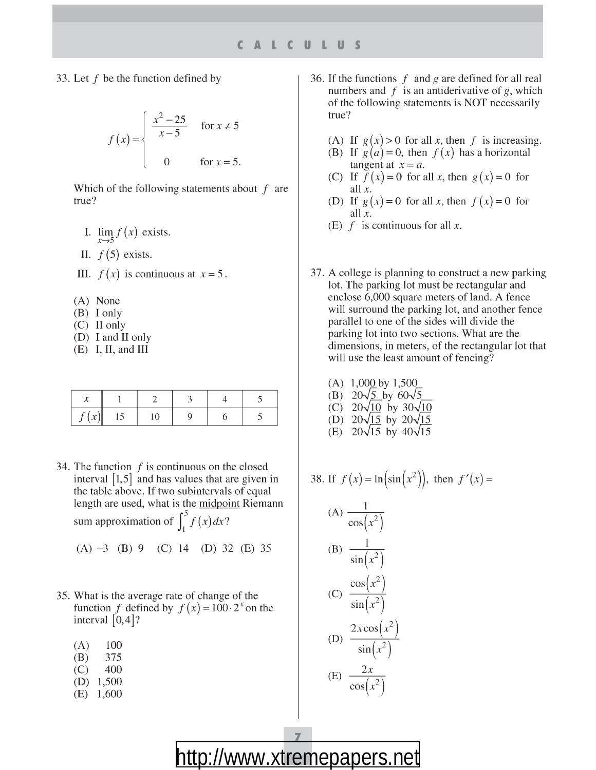33. Let f be the function defined by

$$
f(x) = \begin{cases} \frac{x^2 - 25}{x - 5} & \text{for } x \neq 5 \\ 0 & \text{for } x = 5. \end{cases}
$$

Which of the following statements about  $f$  are true?

- I.  $\lim_{x\to 5} f(x)$  exists.
- II.  $f(5)$  exists.
- III.  $f(x)$  is continuous at  $x = 5$ .
- $(A)$  None
- $(B)$  I only
- $(C)$  II only
- $(D)$  I and II only
- $(E)$  I. II. and III

| $\mathbf{I}$ |  |  |  |
|--------------|--|--|--|

34. The function  $f$  is continuous on the closed interval  $\vert 1, 5 \vert$  and has values that are given in the table above. If two subintervals of equal length are used, what is the midpoint Riemann sum approximation of  $\int_{1}^{5} f(x) dx$ ?

 $(A) -3$  (B) 9 (C) 14 (D) 32 (E) 35

- 35. What is the average rate of change of the function f defined by  $f(x) = 100 \cdot 2^{x}$  on the interval  $[0,4]$ ?
	- $(A)$ 100
	- $(B)$ 375
	- $(C)$ 400
	- $(D)$  1,500
	- $(E)$  1,600
- 36. If the functions  $f$  and  $g$  are defined for all real numbers and  $f$  is an antiderivative of  $g$ , which of the following statements is NOT necessarily true?
	- (A) If  $g(x) > 0$  for all x, then f is increasing.
	- (B) If  $g(a) = 0$ , then  $f(x)$  has a horizontal tangent at  $x = a$ .
	- (C) If  $f(x) = 0$  for all x, then  $g(x) = 0$  for all  $x$ .
	- (D) If  $g(x) = 0$  for all x, then  $f(x) = 0$  for all  $x$ .
	- (E)  $f$  is continuous for all x.
- 37. A college is planning to construct a new parking lot. The parking lot must be rectangular and enclose 6,000 square meters of land. A fence will surround the parking lot, and another fence parallel to one of the sides will divide the parking lot into two sections. What are the dimensions, in meters, of the rectangular lot that will use the least amount of fencing?
	- (A)  $1,000$  by  $1,500$ (B)  $20\sqrt{5}$  by  $60\sqrt{5}$ (C) 20 $\sqrt{10}$  by 30 $\sqrt{10}$ (D)  $20\sqrt{15}$  by  $20\sqrt{15}$ (E)  $20\sqrt{15}$  by  $40\sqrt{15}$

38. If 
$$
f(x) = \ln(\sin(x^2))
$$
, then  $f'(x) =$ 

(A) 
$$
\frac{1}{\cos(x^2)}
$$
  
\n(B) 
$$
\frac{1}{\sin(x^2)}
$$
  
\n(C) 
$$
\frac{\cos(x^2)}{\sin(x^2)}
$$
  
\n(D) 
$$
\frac{2x\cos(x^2)}{\sin(x^2)}
$$
  
\n(E) 
$$
\frac{2x}{\cos(x^2)}
$$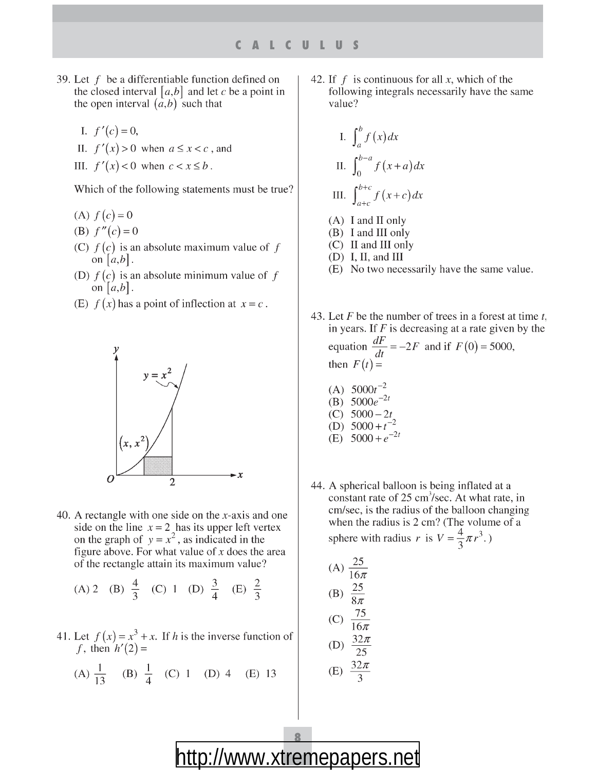- 39. Let  $f$  be a differentiable function defined on the closed interval  $[a,b]$  and let c be a point in the open interval  $(a,b)$  such that
	- I.  $f'(c) = 0$ ,
	- II.  $f'(x) > 0$  when  $a \le x < c$ , and
	- III.  $f'(x) < 0$  when  $c < x \leq b$ .

Which of the following statements must be true?

- (A)  $f(c) = 0$
- (B)  $f''(c) = 0$
- (C)  $f(c)$  is an absolute maximum value of f on  $|a,b|$ .
- (D)  $f(c)$  is an absolute minimum value of f on  $[a,b]$ .
- (E)  $f(x)$  has a point of inflection at  $x = c$ .



40. A rectangle with one side on the x-axis and one side on the line  $x = 2$  has its upper left vertex<br>on the graph of  $y = x^2$ , as indicated in the figure above. For what value of  $x$  does the area of the rectangle attain its maximum value?

(A) 2 (B) 
$$
\frac{4}{3}
$$
 (C) 1 (D)  $\frac{3}{4}$  (E)  $\frac{2}{3}$ 

41. Let  $f(x) = x^3 + x$ . If h is the inverse function of f, then  $h'(2)$  =

(A) 
$$
\frac{1}{13}
$$
 (B)  $\frac{1}{4}$  (C) 1 (D) 4 (E) 13

42. If  $f$  is continuous for all x, which of the following integrals necessarily have the same value?

I. 
$$
\int_{a}^{b} f(x) dx
$$
  
\nII. 
$$
\int_{0}^{b-a} f(x+a) dx
$$
  
\nIII. 
$$
\int_{a+c}^{b+c} f(x+c) dx
$$

- $(A)$  I and II only
- (B) I and III only
- $(C)$  II and III only
- $(D)$  I, II, and III
- (E) No two necessarily have the same value.
- 43. Let  $F$  be the number of trees in a forest at time  $t$ , in years. If  $F$  is decreasing at a rate given by the equation  $\frac{dF}{dt} = -2F$  and if  $F(0) = 5000$ , then  $F(t) =$ 
	- (A)  $5000t^{-2}$ <br>(B)  $5000e^{-2t}$
	- (C)  $5000 2t$ (D)  $5000 + t$
	- (E)  $5000 + e^{-2t}$
- 44. A spherical balloon is being inflated at a constant rate of 25 cm<sup>2</sup>/sec. At what rate, in cm/sec, is the radius of the balloon changing when the radius is 2 cm? (The volume of a sphere with radius r is  $V = \frac{4}{3}\pi r^3$ .)

(A) 
$$
\frac{25}{16\pi}
$$
  
\n(B)  $\frac{25}{8\pi}$   
\n(C)  $\frac{75}{16\pi}$   
\n(D)  $\frac{32\pi}{25}$   
\n(E)  $\frac{32\pi}{3}$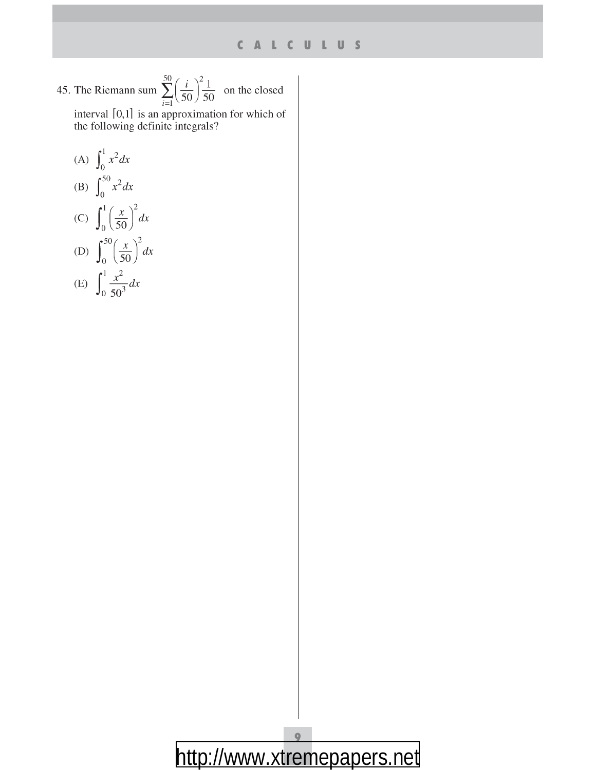45. The Riemann sum  $\sum_{i=1}^{50} \left(\frac{i}{50}\right)^2 \frac{1}{50}$  on the closed

interval  $[0,1]$  is an approximation for which of<br>the following definite integrals?

(A)  $\int_0^1 x^2 dx$ (B)  $\int_0^{50} x^2 dx$ (C)  $\int_0^1 \left(\frac{x}{50}\right)^2 dx$ 

(D) 
$$
\int_{0}^{50} \left(\frac{x}{50}\right)^2 dx
$$
  
(E) 
$$
\int_{0}^{1} \frac{x^2}{50^3} dx
$$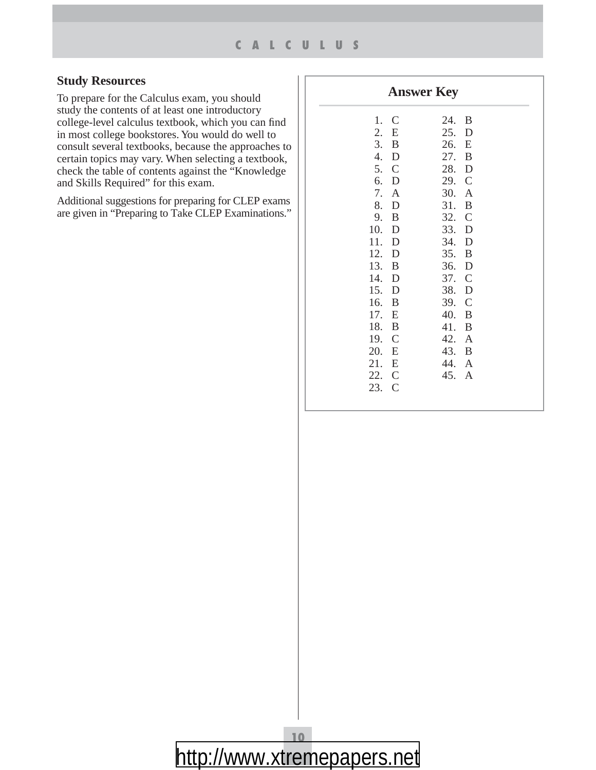#### **Study Resources**

To prepare for the Calculus exam, you should study the contents of at least one introductory college-level calculus textbook, which you can find in most college bookstores. You would do well to consult several textbooks, because the approaches to certain topics may vary. When selecting a textbook, check the table of contents against the "Knowledge and Skills Required" for this exam.

Additional suggestions for preparing for CLEP exams are given in "Preparing to Take CLEP Examinations."

|                                                                                                                                                                       | <b>Answer Key</b> |                                                                                                                                                                                     |
|-----------------------------------------------------------------------------------------------------------------------------------------------------------------------|-------------------|-------------------------------------------------------------------------------------------------------------------------------------------------------------------------------------|
| 1. C<br>2. E<br>3. B<br>4. D<br>5. C<br>6. D<br>7. A<br>8. D<br>9. B<br>10. D<br>11.<br>12. D<br>13. B<br>14. D<br>15. D<br>16. B<br>17. E<br>18. B<br>19. C<br>20. E | D                 | B<br>24.<br>25. D<br>26. E<br>27. B<br>28. D<br>29. C<br>30. A<br>31. B<br>32. C<br>33. D<br>34. D<br>35. B<br>36. D<br>37. C<br>38. D<br>39. C<br>40. B<br>41. B<br>42. A<br>43. B |
| 21. E<br>22. C<br>23.                                                                                                                                                 | $\mathsf C$       | 44. A<br>45. A                                                                                                                                                                      |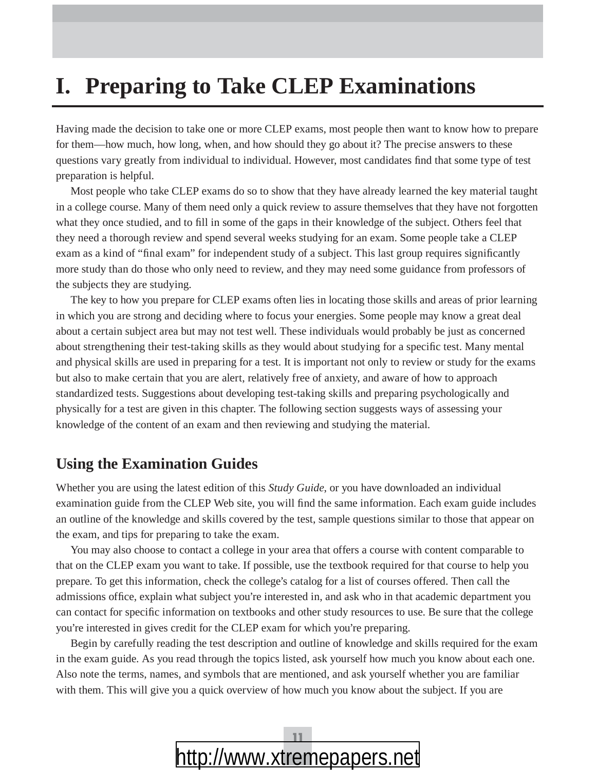## **I. Preparing to Take CLEP Examinations**

Having made the decision to take one or more CLEP exams, most people then want to know how to prepare for them—how much, how long, when, and how should they go about it? The precise answers to these questions vary greatly from individual to individual. However, most candidates find that some type of test preparation is helpful.

 Most people who take CLEP exams do so to show that they have already learned the key material taught in a college course. Many of them need only a quick review to assure themselves that they have not forgotten what they once studied, and to fill in some of the gaps in their knowledge of the subject. Others feel that they need a thorough review and spend several weeks studying for an exam. Some people take a CLEP exam as a kind of "final exam" for independent study of a subject. This last group requires significantly more study than do those who only need to review, and they may need some guidance from professors of the subjects they are studying.

 The key to how you prepare for CLEP exams often lies in locating those skills and areas of prior learning in which you are strong and deciding where to focus your energies. Some people may know a great deal about a certain subject area but may not test well. These individuals would probably be just as concerned about strengthening their test-taking skills as they would about studying for a specific test. Many mental and physical skills are used in preparing for a test. It is important not only to review or study for the exams but also to make certain that you are alert, relatively free of anxiety, and aware of how to approach standardized tests. Suggestions about developing test-taking skills and preparing psychologically and physically for a test are given in this chapter. The following section suggests ways of assessing your knowledge of the content of an exam and then reviewing and studying the material.

#### **Using the Examination Guides**

Whether you are using the latest edition of this *Study Guide*, or you have downloaded an individual examination guide from the CLEP Web site, you will find the same information. Each exam guide includes an outline of the knowledge and skills covered by the test, sample questions similar to those that appear on the exam, and tips for preparing to take the exam.

You may also choose to contact a college in your area that offers a course with content comparable to that on the CLEP exam you want to take. If possible, use the textbook required for that course to help you prepare. To get this information, check the college's catalog for a list of courses offered. Then call the admissions office, explain what subject you're interested in, and ask who in that academic department you can contact for specific information on textbooks and other study resources to use. Be sure that the college you're interested in gives credit for the CLEP exam for which you're preparing.

 Begin by carefully reading the test description and outline of knowledge and skills required for the exam in the exam guide. As you read through the topics listed, ask yourself how much you know about each one. Also note the terms, names, and symbols that are mentioned, and ask yourself whether you are familiar with them. This will give you a quick overview of how much you know about the subject. If you are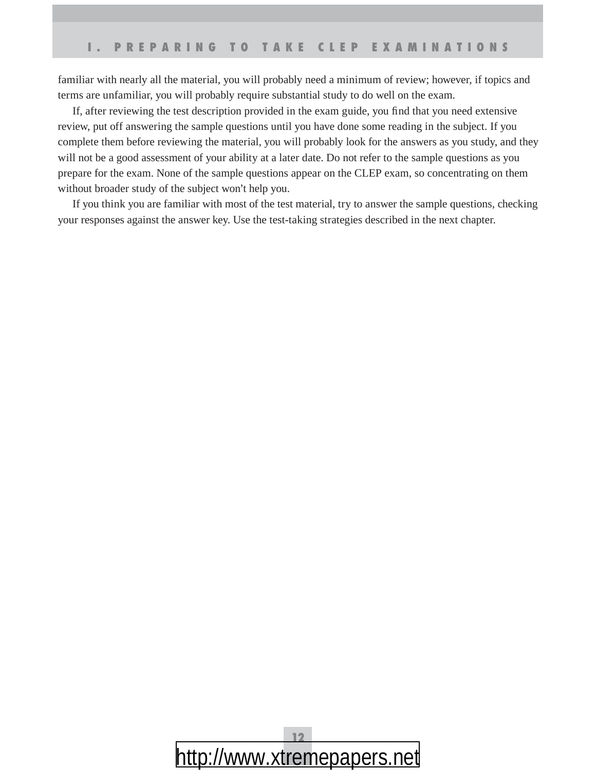familiar with nearly all the material, you will probably need a minimum of review; however, if topics and terms are unfamiliar, you will probably require substantial study to do well on the exam.

If, after reviewing the test description provided in the exam guide, you find that you need extensive review, put off answering the sample questions until you have done some reading in the subject. If you complete them before reviewing the material, you will probably look for the answers as you study, and they will not be a good assessment of your ability at a later date. Do not refer to the sample questions as you prepare for the exam. None of the sample questions appear on the CLEP exam, so concentrating on them without broader study of the subject won't help you.

 If you think you are familiar with most of the test material, try to answer the sample questions, checking your responses against the answer key. Use the test-taking strategies described in the next chapter.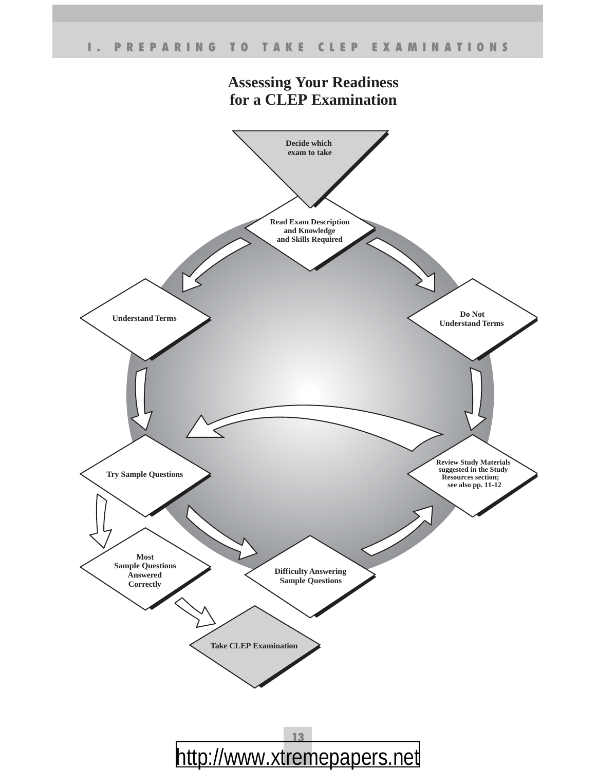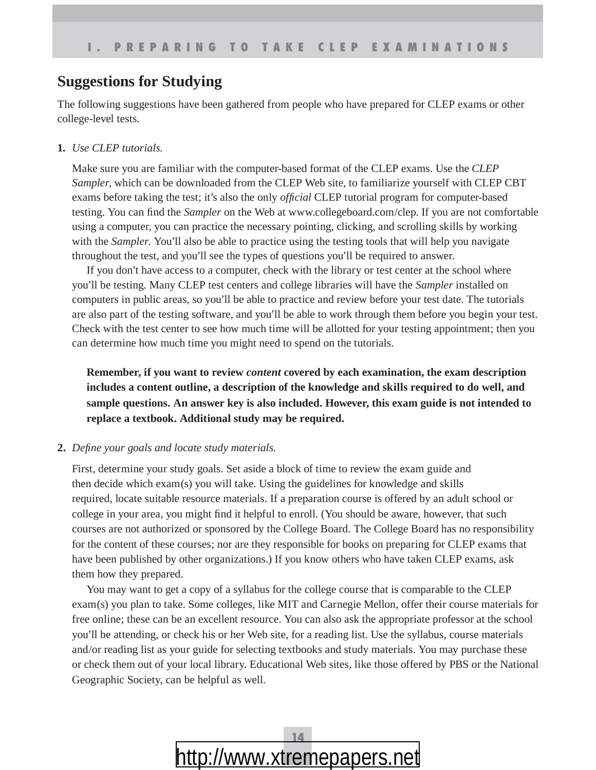#### **Suggestions for Studying**

The following suggestions have been gathered from people who have prepared for CLEP exams or other college-level tests.

#### **1.** *Use CLEP tutorials.*

Make sure you are familiar with the computer-based format of the CLEP exams. Use the *CLEP Sampler*, which can be downloaded from the CLEP Web site, to familiarize yourself with CLEP CBT exams before taking the test; it's also the only *official* CLEP tutorial program for computer-based testing. You can find the *Sampler* on the Web at www.collegeboard.com/clep. If you are not comfortable using a computer, you can practice the necessary pointing, clicking, and scrolling skills by working with the *Sampler.* You'll also be able to practice using the testing tools that will help you navigate throughout the test, and you'll see the types of questions you'll be required to answer.

 If you don't have access to a computer, check with the library or test center at the school where you'll be testing. Many CLEP test centers and college libraries will have the *Sampler* installed on computers in public areas, so you'll be able to practice and review before your test date. The tutorials are also part of the testing software, and you'll be able to work through them before you begin your test. Check with the test center to see how much time will be allotted for your testing appointment; then you can determine how much time you might need to spend on the tutorials.

**Remember, if you want to review** *content* **covered by each examination, the exam description includes a content outline, a description of the knowledge and skills required to do well, and sample questions. An answer key is also included. However, this exam guide is not intended to replace a textbook. Additional study may be required.**

#### **2.** *Defi ne your goals and locate study materials.*

 First, determine your study goals. Set aside a block of time to review the exam guide and then decide which exam(s) you will take. Using the guidelines for knowledge and skills required, locate suitable resource materials. If a preparation course is offered by an adult school or college in your area, you might find it helpful to enroll. (You should be aware, however, that such courses are not authorized or sponsored by the College Board. The College Board has no responsibility for the content of these courses; nor are they responsible for books on preparing for CLEP exams that have been published by other organizations.) If you know others who have taken CLEP exams, ask them how they prepared.

 You may want to get a copy of a syllabus for the college course that is comparable to the CLEP exam(s) you plan to take. Some colleges, like MIT and Carnegie Mellon, offer their course materials for free online; these can be an excellent resource. You can also ask the appropriate professor at the school you'll be attending, or check his or her Web site, for a reading list. Use the syllabus, course materials and/or reading list as your guide for selecting textbooks and study materials. You may purchase these or check them out of your local library. Educational Web sites, like those offered by PBS or the National Geographic Society, can be helpful as well.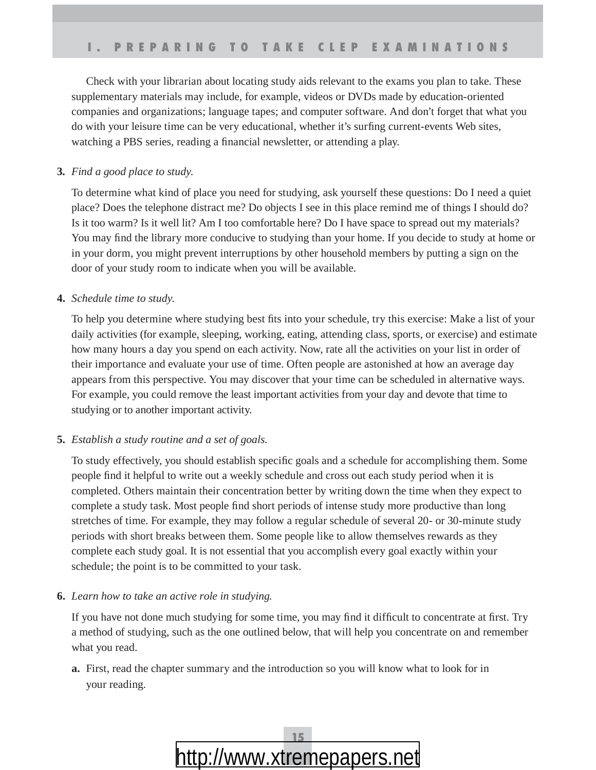Check with your librarian about locating study aids relevant to the exams you plan to take. These supplementary materials may include, for example, videos or DVDs made by education-oriented companies and organizations; language tapes; and computer software. And don't forget that what you do with your leisure time can be very educational, whether it's surfing current-events Web sites, watching a PBS series, reading a financial newsletter, or attending a play.

#### **3.** *Find a good place to study.*

 To determine what kind of place you need for studying, ask yourself these questions: Do I need a quiet place? Does the telephone distract me? Do objects I see in this place remind me of things I should do? Is it too warm? Is it well lit? Am I too comfortable here? Do I have space to spread out my materials? You may find the library more conducive to studying than your home. If you decide to study at home or in your dorm, you might prevent interruptions by other household members by putting a sign on the door of your study room to indicate when you will be available.

#### **4.** *Schedule time to study.*

To help you determine where studying best fits into your schedule, try this exercise: Make a list of your daily activities (for example, sleeping, working, eating, attending class, sports, or exercise) and estimate how many hours a day you spend on each activity. Now, rate all the activities on your list in order of their importance and evaluate your use of time. Often people are astonished at how an average day appears from this perspective. You may discover that your time can be scheduled in alternative ways. For example, you could remove the least important activities from your day and devote that time to studying or to another important activity.

#### **5.** *Establish a study routine and a set of goals.*

To study effectively, you should establish specific goals and a schedule for accomplishing them. Some people find it helpful to write out a weekly schedule and cross out each study period when it is completed. Others maintain their concentration better by writing down the time when they expect to complete a study task. Most people find short periods of intense study more productive than long stretches of time. For example, they may follow a regular schedule of several 20- or 30-minute study periods with short breaks between them. Some people like to allow themselves rewards as they complete each study goal. It is not essential that you accomplish every goal exactly within your schedule; the point is to be committed to your task.

#### **6.** *Learn how to take an active role in studying.*

If you have not done much studying for some time, you may find it difficult to concentrate at first. Try a method of studying, such as the one outlined below, that will help you concentrate on and remember what you read.

**a.** First, read the chapter summary and the introduction so you will know what to look for in your reading.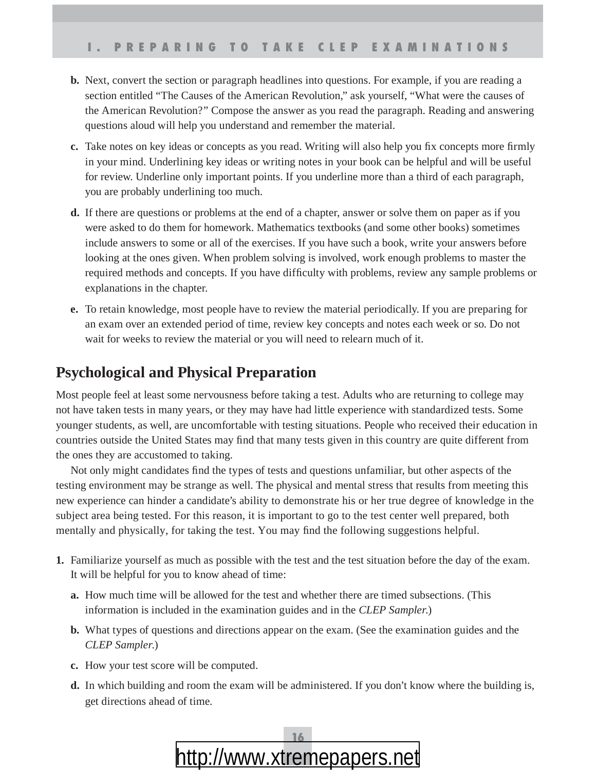- **b.** Next, convert the section or paragraph headlines into questions. For example, if you are reading a section entitled "The Causes of the American Revolution," ask yourself, "What were the causes of the American Revolution?" Compose the answer as you read the paragraph. Reading and answering questions aloud will help you understand and remember the material.
- **c.** Take notes on key ideas or concepts as you read. Writing will also help you fix concepts more firmly in your mind. Underlining key ideas or writing notes in your book can be helpful and will be useful for review. Underline only important points. If you underline more than a third of each paragraph, you are probably underlining too much.
- **d.** If there are questions or problems at the end of a chapter, answer or solve them on paper as if you were asked to do them for homework. Mathematics textbooks (and some other books) sometimes include answers to some or all of the exercises. If you have such a book, write your answers before looking at the ones given. When problem solving is involved, work enough problems to master the required methods and concepts. If you have difficulty with problems, review any sample problems or explanations in the chapter.
- **e.** To retain knowledge, most people have to review the material periodically. If you are preparing for an exam over an extended period of time, review key concepts and notes each week or so. Do not wait for weeks to review the material or you will need to relearn much of it.

#### **Psychological and Physical Preparation**

Most people feel at least some nervousness before taking a test. Adults who are returning to college may not have taken tests in many years, or they may have had little experience with standardized tests. Some younger students, as well, are uncomfortable with testing situations. People who received their education in countries outside the United States may find that many tests given in this country are quite different from the ones they are accustomed to taking.

Not only might candidates find the types of tests and questions unfamiliar, but other aspects of the testing environment may be strange as well. The physical and mental stress that results from meeting this new experience can hinder a candidate's ability to demonstrate his or her true degree of knowledge in the subject area being tested. For this reason, it is important to go to the test center well prepared, both mentally and physically, for taking the test. You may find the following suggestions helpful.

- **1.** Familiarize yourself as much as possible with the test and the test situation before the day of the exam. It will be helpful for you to know ahead of time:
	- **a.** How much time will be allowed for the test and whether there are timed subsections. (This information is included in the examination guides and in the *CLEP Sampler*.)
	- **b.** What types of questions and directions appear on the exam. (See the examination guides and the *CLEP Sampler.*)
	- **c.** How your test score will be computed.
	- **d.** In which building and room the exam will be administered. If you don't know where the building is, get directions ahead of time.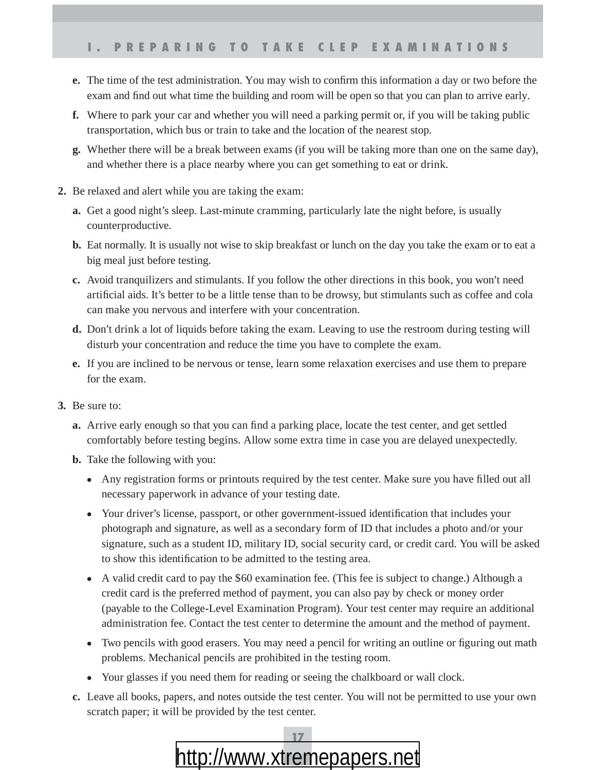- **e.** The time of the test administration. You may wish to confirm this information a day or two before the exam and find out what time the building and room will be open so that you can plan to arrive early.
- **f.** Where to park your car and whether you will need a parking permit or, if you will be taking public transportation, which bus or train to take and the location of the nearest stop.
- **g.** Whether there will be a break between exams (if you will be taking more than one on the same day), and whether there is a place nearby where you can get something to eat or drink.
- **2.** Be relaxed and alert while you are taking the exam:
	- **a.** Get a good night's sleep. Last-minute cramming, particularly late the night before, is usually counterproductive.
	- **b.** Eat normally. It is usually not wise to skip breakfast or lunch on the day you take the exam or to eat a big meal just before testing.
	- **c.** Avoid tranquilizers and stimulants. If you follow the other directions in this book, you won't need artificial aids. It's better to be a little tense than to be drowsy, but stimulants such as coffee and cola can make you nervous and interfere with your concentration.
	- **d.** Don't drink a lot of liquids before taking the exam. Leaving to use the restroom during testing will disturb your concentration and reduce the time you have to complete the exam.
	- **e.** If you are inclined to be nervous or tense, learn some relaxation exercises and use them to prepare for the exam.
- **3.** Be sure to:
	- **a.** Arrive early enough so that you can find a parking place, locate the test center, and get settled comfortably before testing begins. Allow some extra time in case you are delayed unexpectedly.
	- **b.** Take the following with you:
		- Any registration forms or printouts required by the test center. Make sure you have filled out all necessary paperwork in advance of your testing date.
		- Your driver's license, passport, or other government-issued identification that includes your photograph and signature, as well as a secondary form of ID that includes a photo and/or your signature, such as a student ID, military ID, social security card, or credit card. You will be asked to show this identification to be admitted to the testing area.
		- A valid credit card to pay the \$60 examination fee. (This fee is subject to change.) Although a credit card is the preferred method of payment, you can also pay by check or money order (payable to the College-Level Examination Program). Your test center may require an additional administration fee. Contact the test center to determine the amount and the method of payment.
		- Two pencils with good erasers. You may need a pencil for writing an outline or figuring out math problems. Mechanical pencils are prohibited in the testing room.
		- Your glasses if you need them for reading or seeing the chalkboard or wall clock.
	- **c.** Leave all books, papers, and notes outside the test center. You will not be permitted to use your own scratch paper; it will be provided by the test center.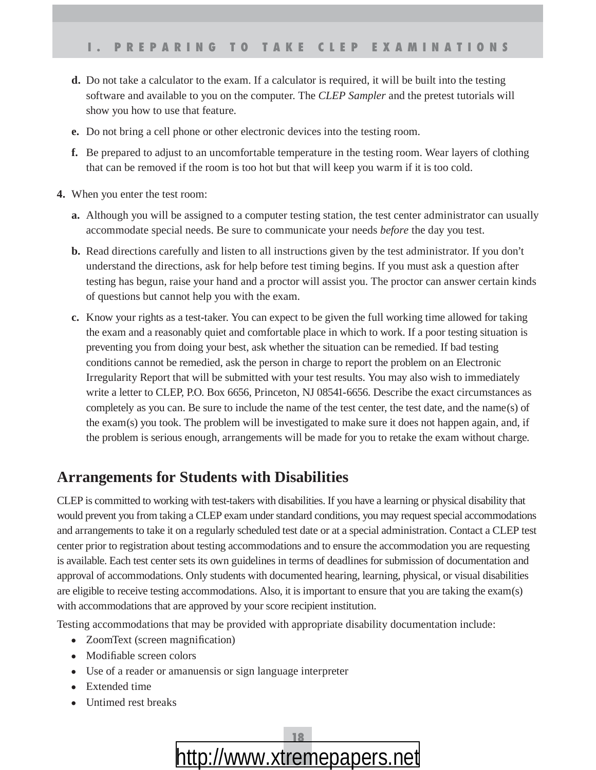- **d.** Do not take a calculator to the exam. If a calculator is required, it will be built into the testing software and available to you on the computer. The *CLEP Sampler* and the pretest tutorials will show you how to use that feature.
- **e.** Do not bring a cell phone or other electronic devices into the testing room.
- **f.** Be prepared to adjust to an uncomfortable temperature in the testing room. Wear layers of clothing that can be removed if the room is too hot but that will keep you warm if it is too cold.
- **4.** When you enter the test room:
	- **a.** Although you will be assigned to a computer testing station, the test center administrator can usually accommodate special needs. Be sure to communicate your needs *before* the day you test.
	- **b.** Read directions carefully and listen to all instructions given by the test administrator. If you don't understand the directions, ask for help before test timing begins. If you must ask a question after testing has begun, raise your hand and a proctor will assist you. The proctor can answer certain kinds of questions but cannot help you with the exam.
	- **c.** Know your rights as a test-taker. You can expect to be given the full working time allowed for taking the exam and a reasonably quiet and comfortable place in which to work. If a poor testing situation is preventing you from doing your best, ask whether the situation can be remedied. If bad testing conditions cannot be remedied, ask the person in charge to report the problem on an Electronic Irregularity Report that will be submitted with your test results. You may also wish to immediately write a letter to CLEP, P.O. Box 6656, Princeton, NJ 08541-6656. Describe the exact circumstances as completely as you can. Be sure to include the name of the test center, the test date, and the name(s) of the exam(s) you took. The problem will be investigated to make sure it does not happen again, and, if the problem is serious enough, arrangements will be made for you to retake the exam without charge.

#### **Arrangements for Students with Disabilities**

CLEP is committed to working with test-takers with disabilities. If you have a learning or physical disability that would prevent you from taking a CLEP exam under standard conditions, you may request special accommodations and arrangements to take it on a regularly scheduled test date or at a special administration. Contact a CLEP test center prior to registration about testing accommodations and to ensure the accommodation you are requesting is available. Each test center sets its own guidelines in terms of deadlines for submission of documentation and approval of accommodations. Only students with documented hearing, learning, physical, or visual disabilities are eligible to receive testing accommodations. Also, it is important to ensure that you are taking the exam(s) with accommodations that are approved by your score recipient institution.

Testing accommodations that may be provided with appropriate disability documentation include:

- ZoomText (screen magnification)
- Modifiable screen colors
- Use of a reader or amanuensis or sign language interpreter
- Extended time
- Untimed rest breaks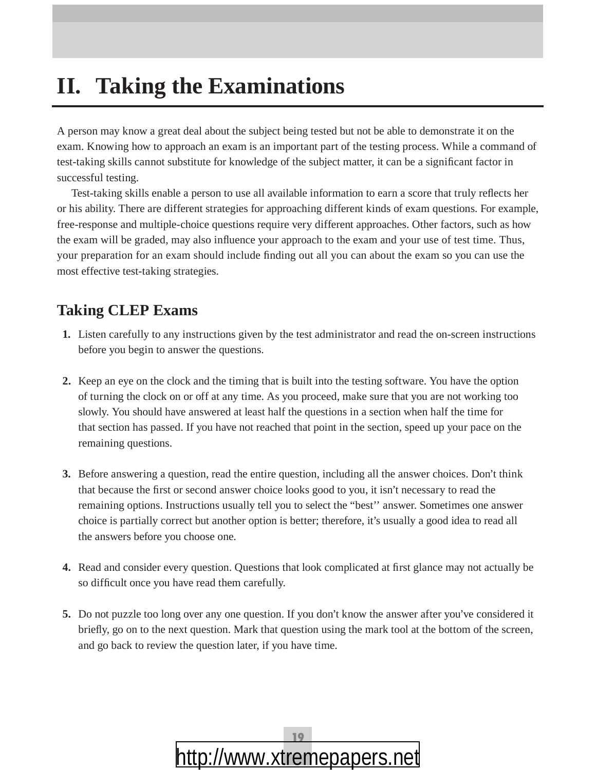## **II. Taking the Examinations**

A person may know a great deal about the subject being tested but not be able to demonstrate it on the exam. Knowing how to approach an exam is an important part of the testing process. While a command of test-taking skills cannot substitute for knowledge of the subject matter, it can be a significant factor in successful testing.

Test-taking skills enable a person to use all available information to earn a score that truly reflects her or his ability. There are different strategies for approaching different kinds of exam questions. For example, free-response and multiple-choice questions require very different approaches. Other factors, such as how the exam will be graded, may also influence your approach to the exam and your use of test time. Thus, your preparation for an exam should include finding out all you can about the exam so you can use the most effective test-taking strategies.

#### **Taking CLEP Exams**

- **1.** Listen carefully to any instructions given by the test administrator and read the on-screen instructions before you begin to answer the questions.
- **2.** Keep an eye on the clock and the timing that is built into the testing software. You have the option of turning the clock on or off at any time. As you proceed, make sure that you are not working too slowly. You should have answered at least half the questions in a section when half the time for that section has passed. If you have not reached that point in the section, speed up your pace on the remaining questions.
- **3.** Before answering a question, read the entire question, including all the answer choices. Don't think that because the first or second answer choice looks good to you, it isn't necessary to read the remaining options. Instructions usually tell you to select the "best'' answer. Sometimes one answer choice is partially correct but another option is better; therefore, it's usually a good idea to read all the answers before you choose one.
- **4.** Read and consider every question. Questions that look complicated at first glance may not actually be so difficult once you have read them carefully.
- **5.** Do not puzzle too long over any one question. If you don't know the answer after you've considered it briefly, go on to the next question. Mark that question using the mark tool at the bottom of the screen, and go back to review the question later, if you have time.

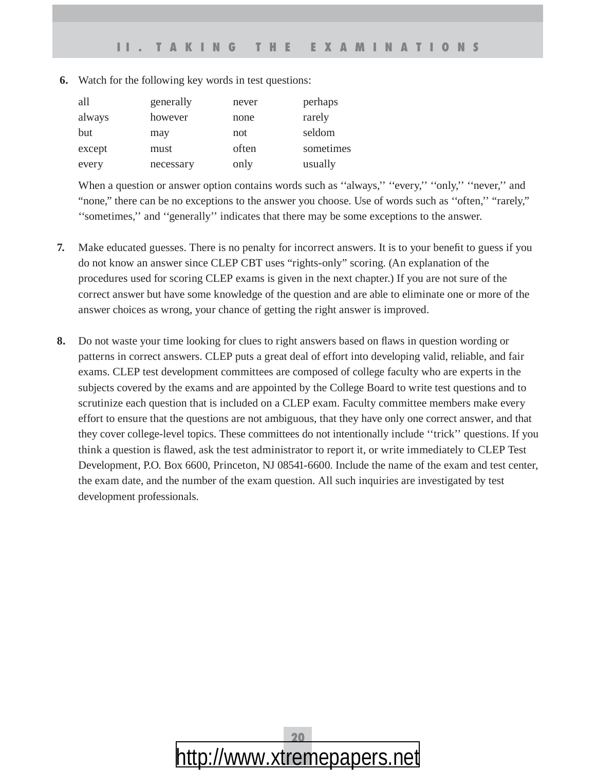| all    | generally | never | perhaps   |
|--------|-----------|-------|-----------|
| always | however   | none  | rarely    |
| but    | may       | not   | seldom    |
| except | must      | often | sometimes |
| every  | necessary | only  | usually   |

 **6.** Watch for the following key words in test questions:

When a question or answer option contains words such as "always," "every," "only," "never," and "none," there can be no exceptions to the answer you choose. Use of words such as ''often,'' "rarely," ''sometimes,'' and ''generally'' indicates that there may be some exceptions to the answer.

- **7.** Make educated guesses. There is no penalty for incorrect answers. It is to your benefit to guess if you do not know an answer since CLEP CBT uses "rights-only" scoring. (An explanation of the procedures used for scoring CLEP exams is given in the next chapter.) If you are not sure of the correct answer but have some knowledge of the question and are able to eliminate one or more of the answer choices as wrong, your chance of getting the right answer is improved.
- **8.** Do not waste your time looking for clues to right answers based on flaws in question wording or patterns in correct answers. CLEP puts a great deal of effort into developing valid, reliable, and fair exams. CLEP test development committees are composed of college faculty who are experts in the subjects covered by the exams and are appointed by the College Board to write test questions and to scrutinize each question that is included on a CLEP exam. Faculty committee members make every effort to ensure that the questions are not ambiguous, that they have only one correct answer, and that they cover college-level topics. These committees do not intentionally include ''trick'' questions. If you think a question is flawed, ask the test administrator to report it, or write immediately to CLEP Test Development, P.O. Box 6600, Princeton, NJ 08541-6600. Include the name of the exam and test center, the exam date, and the number of the exam question. All such inquiries are investigated by test development professionals.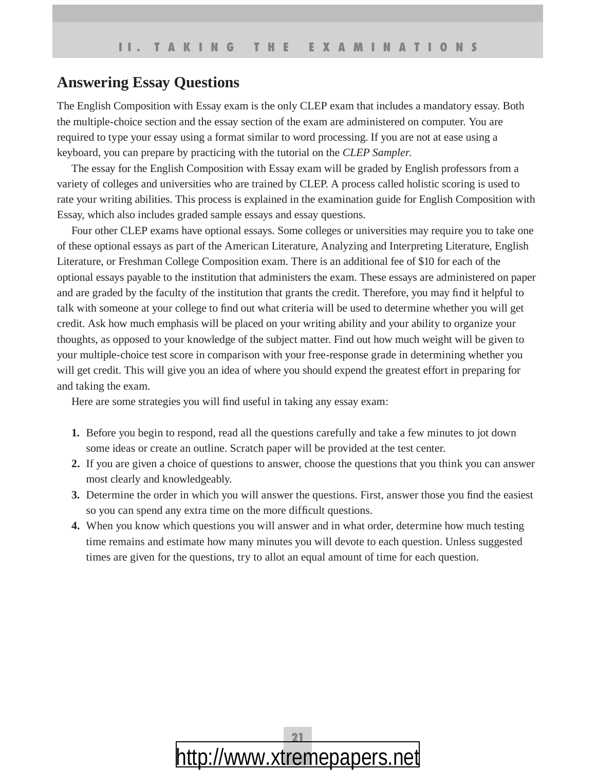#### **Answering Essay Questions**

The English Composition with Essay exam is the only CLEP exam that includes a mandatory essay. Both the multiple-choice section and the essay section of the exam are administered on computer. You are required to type your essay using a format similar to word processing. If you are not at ease using a keyboard, you can prepare by practicing with the tutorial on the *CLEP Sampler.*

 The essay for the English Composition with Essay exam will be graded by English professors from a variety of colleges and universities who are trained by CLEP. A process called holistic scoring is used to rate your writing abilities. This process is explained in the examination guide for English Composition with Essay, which also includes graded sample essays and essay questions.

 Four other CLEP exams have optional essays. Some colleges or universities may require you to take one of these optional essays as part of the American Literature, Analyzing and Interpreting Literature, English Literature, or Freshman College Composition exam. There is an additional fee of \$10 for each of the optional essays payable to the institution that administers the exam. These essays are administered on paper and are graded by the faculty of the institution that grants the credit. Therefore, you may find it helpful to talk with someone at your college to find out what criteria will be used to determine whether you will get credit. Ask how much emphasis will be placed on your writing ability and your ability to organize your thoughts, as opposed to your knowledge of the subject matter. Find out how much weight will be given to your multiple-choice test score in comparison with your free-response grade in determining whether you will get credit. This will give you an idea of where you should expend the greatest effort in preparing for and taking the exam.

Here are some strategies you will find useful in taking any essay exam:

- **1.** Before you begin to respond, read all the questions carefully and take a few minutes to jot down some ideas or create an outline. Scratch paper will be provided at the test center.
- **2.** If you are given a choice of questions to answer, choose the questions that you think you can answer most clearly and knowledgeably.
- **3.** Determine the order in which you will answer the questions. First, answer those you find the easiest so you can spend any extra time on the more difficult questions.
- **4.** When you know which questions you will answer and in what order, determine how much testing time remains and estimate how many minutes you will devote to each question. Unless suggested times are given for the questions, try to allot an equal amount of time for each question.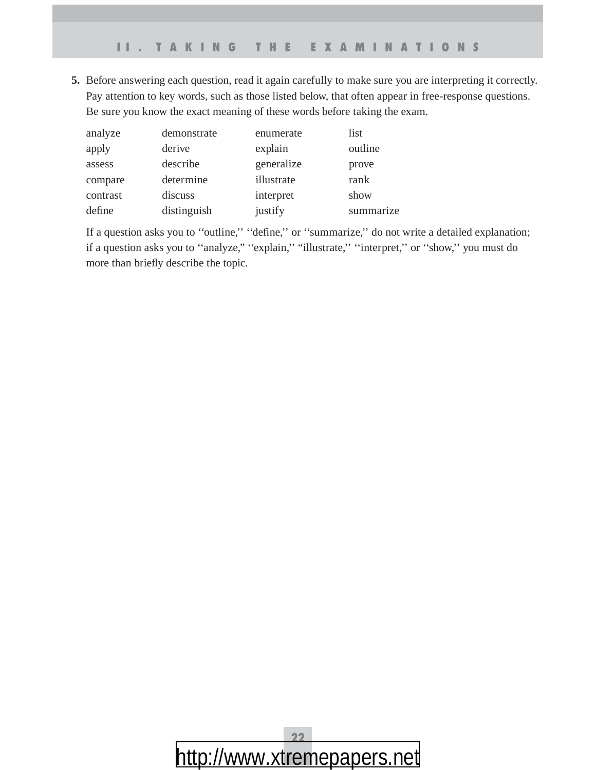**5.** Before answering each question, read it again carefully to make sure you are interpreting it correctly. Pay attention to key words, such as those listed below, that often appear in free-response questions. Be sure you know the exact meaning of these words before taking the exam.

| analyze  | demonstrate | enumerate  | list      |
|----------|-------------|------------|-----------|
| apply    | derive      | explain    | outline   |
| assess   | describe    | generalize | prove     |
| compare  | determine   | illustrate | rank      |
| contrast | discuss     | interpret  | show      |
| define   | distinguish | justify    | summarize |

If a question asks you to "outline," "define," or "summarize," do not write a detailed explanation; if a question asks you to ''analyze," ''explain,'' "illustrate,'' ''interpret,'' or ''show,'' you must do more than briefly describe the topic.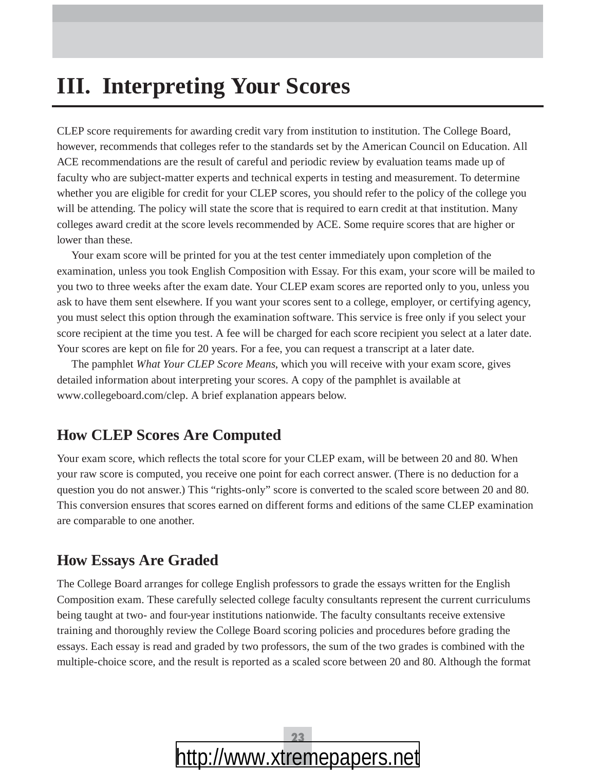## **III. Interpreting Your Scores**

CLEP score requirements for awarding credit vary from institution to institution. The College Board, however, recommends that colleges refer to the standards set by the American Council on Education. All ACE recommendations are the result of careful and periodic review by evaluation teams made up of faculty who are subject-matter experts and technical experts in testing and measurement. To determine whether you are eligible for credit for your CLEP scores, you should refer to the policy of the college you will be attending. The policy will state the score that is required to earn credit at that institution. Many colleges award credit at the score levels recommended by ACE. Some require scores that are higher or lower than these.

 Your exam score will be printed for you at the test center immediately upon completion of the examination, unless you took English Composition with Essay. For this exam, your score will be mailed to you two to three weeks after the exam date. Your CLEP exam scores are reported only to you, unless you ask to have them sent elsewhere. If you want your scores sent to a college, employer, or certifying agency, you must select this option through the examination software. This service is free only if you select your score recipient at the time you test. A fee will be charged for each score recipient you select at a later date. Your scores are kept on file for 20 years. For a fee, you can request a transcript at a later date.

 The pamphlet *What Your CLEP Score Means*, which you will receive with your exam score, gives detailed information about interpreting your scores. A copy of the pamphlet is available at www.collegeboard.com/clep. A brief explanation appears below.

#### **How CLEP Scores Are Computed**

Your exam score, which reflects the total score for your CLEP exam, will be between 20 and 80. When your raw score is computed, you receive one point for each correct answer. (There is no deduction for a question you do not answer.) This "rights-only" score is converted to the scaled score between 20 and 80. This conversion ensures that scores earned on different forms and editions of the same CLEP examination are comparable to one another.

#### **How Essays Are Graded**

The College Board arranges for college English professors to grade the essays written for the English Composition exam. These carefully selected college faculty consultants represent the current curriculums being taught at two- and four-year institutions nationwide. The faculty consultants receive extensive training and thoroughly review the College Board scoring policies and procedures before grading the essays. Each essay is read and graded by two professors, the sum of the two grades is combined with the multiple-choice score, and the result is reported as a scaled score between 20 and 80. Although the format